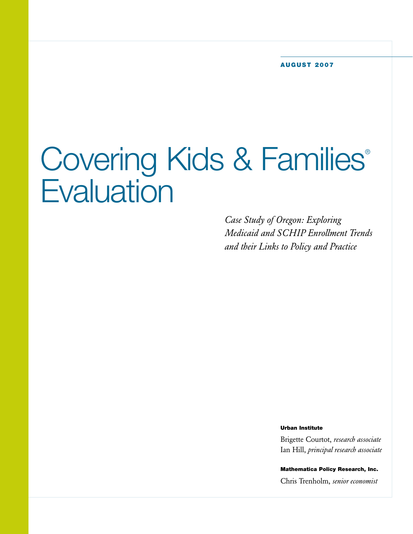# Covering Kids & Families® **Evaluation**

*Case Study of Oregon: Exploring Medicaid and SCHIP Enrollment Trends and their Links to Policy and Practice*

**Urban Institute**

Brigette Courtot, *research associate* Ian Hill, *principal research associate*

**Mathematica Policy Research, Inc.** Chris Trenholm, *senior economist*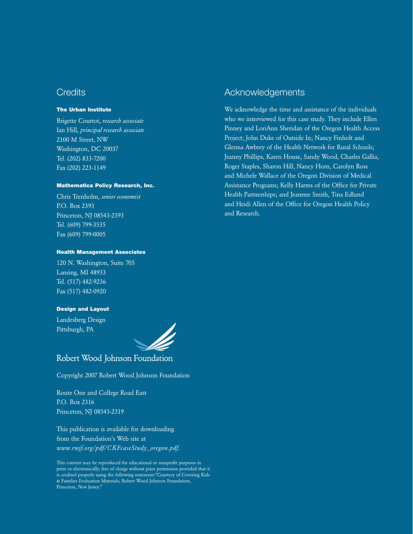# **Credits**

## **The Urban Institute**

Brigette Courtot, *research associate* Ian Hill, *principal research associate* 2100 M Street, NW Washington, DC 20037 Tel. (202) 833-7200 Fax (202) 223-1149

## **Mathematica Policy Research, Inc.**

Chris Trenholm, *senior economist* P.O. Box 2393 Princeton, NJ 08543-2393 Tel. (609) 799-3535 Fax (609) 799-0005

## **Health Management Associates**

120 N. Washington, Suite 705 Lansing, MI 48933 Tel. (517) 482-9236 Fax (517) 482-0920

## **Design and Layout**

Landesberg Design Pittsburgh, PA



Robert Wood Johnson Foundation

Copyright 2007 Robert Wood Johnson Foundation

Route One and College Road East P.O. Box 2316 Princeton, NJ 08543-2319

This publication is available for downloading from the Foundation's Web site at *www.rwjf.org/pdf/CKFcaseStudy\_oregon.pdf*.

This content may be reproduced for educational or nonprofit purposes in print or electronically, free of charge without prior permission provided that it is credited properly using the following statement:"Courtesy of Covering Kids & Families Evaluation Materials, Robert Wood Johnson Foundation, Princeton, New Jersey."

# Acknowledgements

We acknowledge the time and assistance of the individuals who we interviewed for this case study. They include Ellen Pinney and LoriAnn Sheridan of the Oregon Health Access Project; John Duke of Outside In; Nancy Finholt and Glenna Awbrey of the Health Network for Rural Schools; Jeanny Phillips, Karen House, Sandy Wood, Charles Gallia, Roger Staples, Sharon Hill, Nancy Horn, Carolyn Ross and Michele Wallace of the Oregon Division of Medical Assistance Programs; Kelly Harms of the Office for Private Health Partnerships; and Jeanene Smith, Tina Edlund and Heidi Allen of the Office for Oregon Health Policy and Research.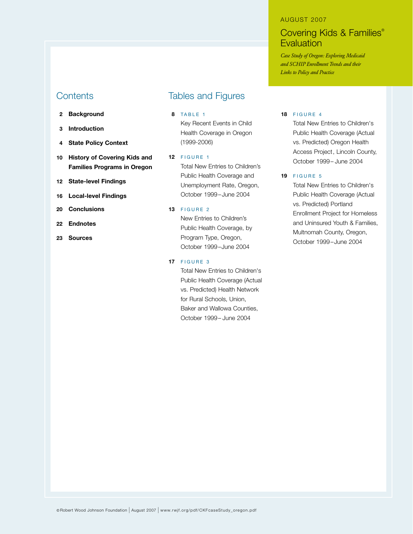# **Contents**

- **2 Background**
- **3 Introduction**
- **4 State Policy Context**
- **10 History of Covering Kids and Families Programs in Oregon**
- **12 State-level Findings**
- **16 Local-level Findings**
- **20 Conclusions**
- **22 Endnotes**
- **23 Sources**

# Tables and Figures

## **8** TABLE 1

Key Recent Events in Child Health Coverage in Oregon (1999-2006)

#### **12** FIGURE 1

Total New Entries to Children's Public Health Coverage and Unemployment Rate, Oregon, October 1999–June 2004

## **13** FIGURE 2

New Entries to Children's Public Health Coverage, by Program Type, Oregon, October 1999–June 2004

#### **17** FIGURE 3

Total New Entries to Children's Public Health Coverage (Actual vs. Predicted) Health Network for Rural Schools, Union, Baker and Wallowa Counties, October 1999– June 2004

#### AUGUST 2007

# Covering Kids & Families® **Evaluation**

*Case Study of Oregon: Exploring Medicaid and SCHIP Enrollment Trends and their Links to Policy and Practice*

#### **18** F IGURE 4

Total New Entries to Children's Public Health Coverage (Actual vs. Predicted) Oregon Health Access Project, Lincoln County, October 1999– June 2004

## **19** FIGURE 5

Total New Entries to Children's Public Health Coverage (Actual vs. Predicted) Portland Enrollment Project for Homeless and Uninsured Youth & Families, Multnomah County, Oregon, October 1999–June 2004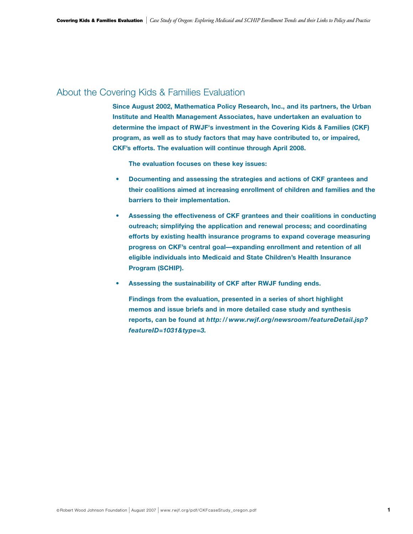# About the Covering Kids & Families Evaluation

**Since August 2002, Mathematica Policy Research, Inc., and its partners, the Urban Institute and Health Management Associates, have undertaken an evaluation to determine the impact of RWJF's investment in the Covering Kids & Families (CKF) program, as well as to study factors that may have contributed to, or impaired, CKF's efforts. The evaluation will continue through April 2008.** 

**The evaluation focuses on these key issues:**

- **Documenting and assessing the strategies and actions of CKF grantees and their coalitions aimed at increasing enrollment of children and families and the barriers to their implementation.**
- **• Assessing the effectiveness of CKF grantees and their coalitions in conducting outreach; simplifying the application and renewal process; and coordinating efforts by existing health insurance programs to expand coverage measuring progress on CKF's central goal—expanding enrollment and retention of all eligible individuals into Medicaid and State Children's Health Insurance Program (SCHIP).**
- **Assessing the sustainability of CKF after RWJF funding ends.**

**Findings from the evaluation, presented in a series of short highlight memos and issue briefs and in more detailed case study and synthesis reports, can be found at** *http: // www.rwjf.org/newsroom/featureDetail.jsp? featureID=1031&type=3.*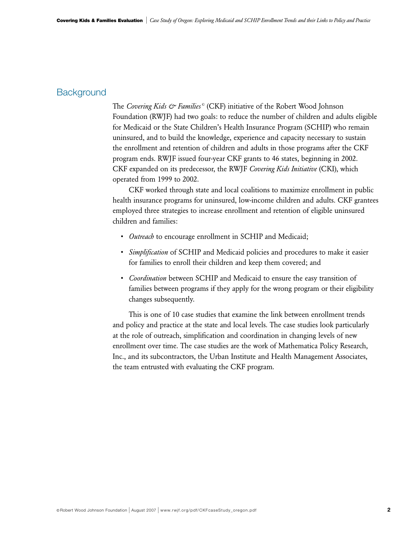# **Background**

The *Covering Kids & Families ©* (CKF) initiative of the Robert Wood Johnson Foundation (RWJF) had two goals: to reduce the number of children and adults eligible for Medicaid or the State Children's Health Insurance Program (SCHIP) who remain uninsured, and to build the knowledge, experience and capacity necessary to sustain the enrollment and retention of children and adults in those programs after the CKF program ends. RWJF issued four-year CKF grants to 46 states, beginning in 2002. CKF expanded on its predecessor, the RWJF *Covering Kids Initiative* (CKI), which operated from 1999 to 2002.

CKF worked through state and local coalitions to maximize enrollment in public health insurance programs for uninsured, low-income children and adults. CKF grantees employed three strategies to increase enrollment and retention of eligible uninsured children and families:

- *Outreach* to encourage enrollment in SCHIP and Medicaid;
- *Simplification* of SCHIP and Medicaid policies and procedures to make it easier for families to enroll their children and keep them covered; and
- *Coordination* between SCHIP and Medicaid to ensure the easy transition of families between programs if they apply for the wrong program or their eligibility changes subsequently.

This is one of 10 case studies that examine the link between enrollment trends and policy and practice at the state and local levels. The case studies look particularly at the role of outreach, simplification and coordination in changing levels of new enrollment over time. The case studies are the work of Mathematica Policy Research, Inc., and its subcontractors, the Urban Institute and Health Management Associates, the team entrusted with evaluating the CKF program.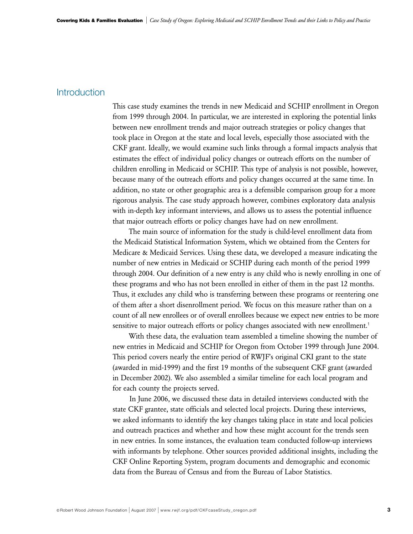# **Introduction**

This case study examines the trends in new Medicaid and SCHIP enrollment in Oregon from 1999 through 2004. In particular, we are interested in exploring the potential links between new enrollment trends and major outreach strategies or policy changes that took place in Oregon at the state and local levels, especially those associated with the CKF grant. Ideally, we would examine such links through a formal impacts analysis that estimates the effect of individual policy changes or outreach efforts on the number of children enrolling in Medicaid or SCHIP. This type of analysis is not possible, however, because many of the outreach efforts and policy changes occurred at the same time. In addition, no state or other geographic area is a defensible comparison group for a more rigorous analysis. The case study approach however, combines exploratory data analysis with in-depth key informant interviews, and allows us to assess the potential influence that major outreach efforts or policy changes have had on new enrollment.

The main source of information for the study is child-level enrollment data from the Medicaid Statistical Information System, which we obtained from the Centers for Medicare & Medicaid Services. Using these data, we developed a measure indicating the number of new entries in Medicaid or SCHIP during each month of the period 1999 through 2004. Our definition of a new entry is any child who is newly enrolling in one of these programs and who has not been enrolled in either of them in the past 12 months. Thus, it excludes any child who is transferring between these programs or reentering one of them after a short disenrollment period. We focus on this measure rather than on a count of all new enrollees or of overall enrollees because we expect new entries to be more sensitive to major outreach efforts or policy changes associated with new enrollment.<sup>1</sup>

With these data, the evaluation team assembled a timeline showing the number of new entries in Medicaid and SCHIP for Oregon from October 1999 through June 2004. This period covers nearly the entire period of RWJF's original CKI grant to the state (awarded in mid-1999) and the first 19 months of the subsequent CKF grant (awarded in December 2002). We also assembled a similar timeline for each local program and for each county the projects served.

In June 2006, we discussed these data in detailed interviews conducted with the state CKF grantee, state officials and selected local projects. During these interviews, we asked informants to identify the key changes taking place in state and local policies and outreach practices and whether and how these might account for the trends seen in new entries. In some instances, the evaluation team conducted follow-up interviews with informants by telephone. Other sources provided additional insights, including the CKF Online Reporting System, program documents and demographic and economic data from the Bureau of Census and from the Bureau of Labor Statistics.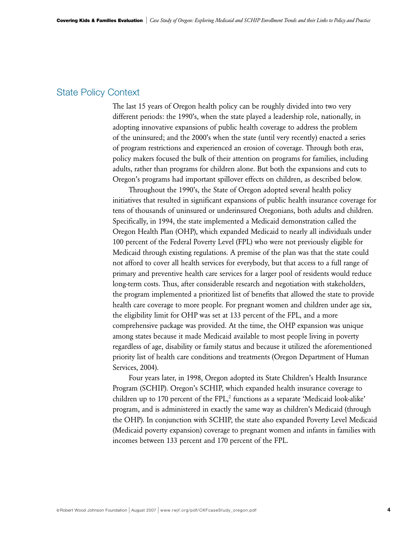# State Policy Context

The last 15 years of Oregon health policy can be roughly divided into two very different periods: the 1990's, when the state played a leadership role, nationally, in adopting innovative expansions of public health coverage to address the problem of the uninsured; and the 2000's when the state (until very recently) enacted a series of program restrictions and experienced an erosion of coverage. Through both eras, policy makers focused the bulk of their attention on programs for families, including adults, rather than programs for children alone. But both the expansions and cuts to Oregon's programs had important spillover effects on children, as described below.

Throughout the 1990's, the State of Oregon adopted several health policy initiatives that resulted in significant expansions of public health insurance coverage for tens of thousands of uninsured or underinsured Oregonians, both adults and children. Specifically, in 1994, the state implemented a Medicaid demonstration called the Oregon Health Plan (OHP), which expanded Medicaid to nearly all individuals under 100 percent of the Federal Poverty Level (FPL) who were not previously eligible for Medicaid through existing regulations. A premise of the plan was that the state could not afford to cover all health services for everybody, but that access to a full range of primary and preventive health care services for a larger pool of residents would reduce long-term costs. Thus, after considerable research and negotiation with stakeholders, the program implemented a prioritized list of benefits that allowed the state to provide health care coverage to more people. For pregnant women and children under age six, the eligibility limit for OHP was set at 133 percent of the FPL, and a more comprehensive package was provided. At the time, the OHP expansion was unique among states because it made Medicaid available to most people living in poverty regardless of age, disability or family status and because it utilized the aforementioned priority list of health care conditions and treatments (Oregon Department of Human Services, 2004).

Four years later, in 1998, Oregon adopted its State Children's Health Insurance Program (SCHIP). Oregon's SCHIP, which expanded health insurance coverage to children up to 170 percent of the FPL,<sup>2</sup> functions as a separate 'Medicaid look-alike' program, and is administered in exactly the same way as children's Medicaid (through the OHP). In conjunction with SCHIP, the state also expanded Poverty Level Medicaid (Medicaid poverty expansion) coverage to pregnant women and infants in families with incomes between 133 percent and 170 percent of the FPL.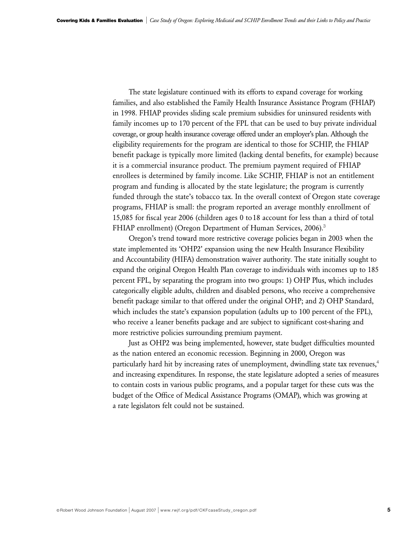The state legislature continued with its efforts to expand coverage for working families, and also established the Family Health Insurance Assistance Program (FHIAP) in 1998. FHIAP provides sliding scale premium subsidies for uninsured residents with family incomes up to 170 percent of the FPL that can be used to buy private individual coverage, or group health insurance coverage offered under an employer's plan. Although the eligibility requirements for the program are identical to those for SCHIP, the FHIAP benefit package is typically more limited (lacking dental benefits, for example) because it is a commercial insurance product. The premium payment required of FHIAP enrollees is determined by family income. Like SCHIP, FHIAP is not an entitlement program and funding is allocated by the state legislature; the program is currently funded through the state's tobacco tax. In the overall context of Oregon state coverage programs, FHIAP is small: the program reported an average monthly enrollment of 15,085 for fiscal year 2006 (children ages 0 to18 account for less than a third of total FHIAP enrollment) (Oregon Department of Human Services, 2006).<sup>3</sup>

Oregon's trend toward more restrictive coverage policies began in 2003 when the state implemented its 'OHP2' expansion using the new Health Insurance Flexibility and Accountability (HIFA) demonstration waiver authority. The state initially sought to expand the original Oregon Health Plan coverage to individuals with incomes up to 185 percent FPL, by separating the program into two groups: 1) OHP Plus, which includes categorically eligible adults, children and disabled persons, who receive a comprehensive benefit package similar to that offered under the original OHP; and 2) OHP Standard, which includes the state's expansion population (adults up to 100 percent of the FPL), who receive a leaner benefits package and are subject to significant cost-sharing and more restrictive policies surrounding premium payment.

Just as OHP2 was being implemented, however, state budget difficulties mounted as the nation entered an economic recession. Beginning in 2000, Oregon was particularly hard hit by increasing rates of unemployment, dwindling state tax revenues,<sup>4</sup> and increasing expenditures. In response, the state legislature adopted a series of measures to contain costs in various public programs, and a popular target for these cuts was the budget of the Office of Medical Assistance Programs (OMAP), which was growing at a rate legislators felt could not be sustained.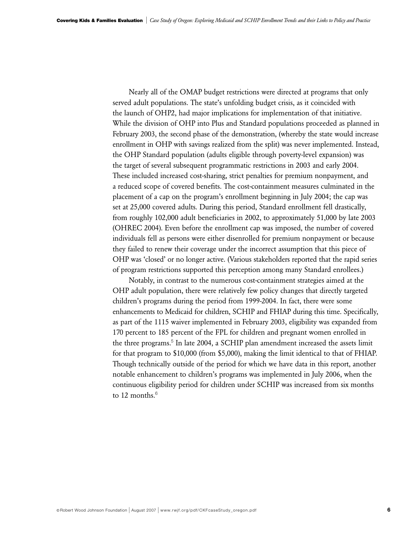Nearly all of the OMAP budget restrictions were directed at programs that only served adult populations. The state's unfolding budget crisis, as it coincided with the launch of OHP2, had major implications for implementation of that initiative. While the division of OHP into Plus and Standard populations proceeded as planned in February 2003, the second phase of the demonstration, (whereby the state would increase enrollment in OHP with savings realized from the split) was never implemented. Instead, the OHP Standard population (adults eligible through poverty-level expansion) was the target of several subsequent programmatic restrictions in 2003 and early 2004. These included increased cost-sharing, strict penalties for premium nonpayment, and a reduced scope of covered benefits. The cost-containment measures culminated in the placement of a cap on the program's enrollment beginning in July 2004; the cap was set at 25,000 covered adults. During this period, Standard enrollment fell drastically, from roughly 102,000 adult beneficiaries in 2002, to approximately 51,000 by late 2003 (OHREC 2004). Even before the enrollment cap was imposed, the number of covered individuals fell as persons were either disenrolled for premium nonpayment or because they failed to renew their coverage under the incorrect assumption that this piece of OHP was 'closed' or no longer active. (Various stakeholders reported that the rapid series of program restrictions supported this perception among many Standard enrollees.)

Notably, in contrast to the numerous cost-containment strategies aimed at the OHP adult population, there were relatively few policy changes that directly targeted children's programs during the period from 1999-2004. In fact, there were some enhancements to Medicaid for children, SCHIP and FHIAP during this time. Specifically, as part of the 1115 waiver implemented in February 2003, eligibility was expanded from 170 percent to 185 percent of the FPL for children and pregnant women enrolled in the three programs.<sup>5</sup> In late 2004, a SCHIP plan amendment increased the assets limit for that program to \$10,000 (from \$5,000), making the limit identical to that of FHIAP. Though technically outside of the period for which we have data in this report, another notable enhancement to children's programs was implemented in July 2006, when the continuous eligibility period for children under SCHIP was increased from six months to 12 months. $6$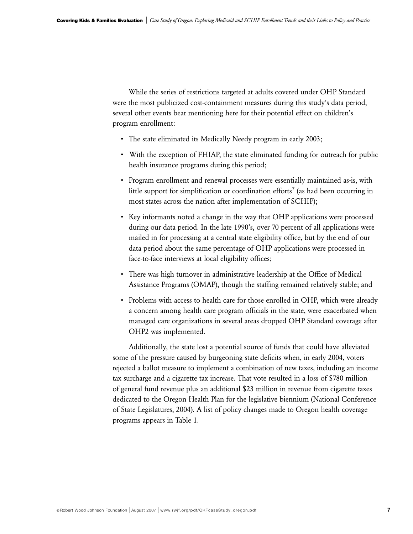While the series of restrictions targeted at adults covered under OHP Standard were the most publicized cost-containment measures during this study's data period, several other events bear mentioning here for their potential effect on children's program enrollment:

- The state eliminated its Medically Needy program in early 2003;
- With the exception of FHIAP, the state eliminated funding for outreach for public health insurance programs during this period;
- Program enrollment and renewal processes were essentially maintained as-is, with little support for simplification or coordination efforts<sup>7</sup> (as had been occurring in most states across the nation after implementation of SCHIP);
- Key informants noted a change in the way that OHP applications were processed during our data period. In the late 1990's, over 70 percent of all applications were mailed in for processing at a central state eligibility office, but by the end of our data period about the same percentage of OHP applications were processed in face-to-face interviews at local eligibility offices;
- There was high turnover in administrative leadership at the Office of Medical Assistance Programs (OMAP), though the staffing remained relatively stable; and
- Problems with access to health care for those enrolled in OHP, which were already a concern among health care program officials in the state, were exacerbated when managed care organizations in several areas dropped OHP Standard coverage after OHP2 was implemented.

Additionally, the state lost a potential source of funds that could have alleviated some of the pressure caused by burgeoning state deficits when, in early 2004, voters rejected a ballot measure to implement a combination of new taxes, including an income tax surcharge and a cigarette tax increase. That vote resulted in a loss of \$780 million of general fund revenue plus an additional \$23 million in revenue from cigarette taxes dedicated to the Oregon Health Plan for the legislative biennium (National Conference of State Legislatures, 2004). A list of policy changes made to Oregon health coverage programs appears in Table 1.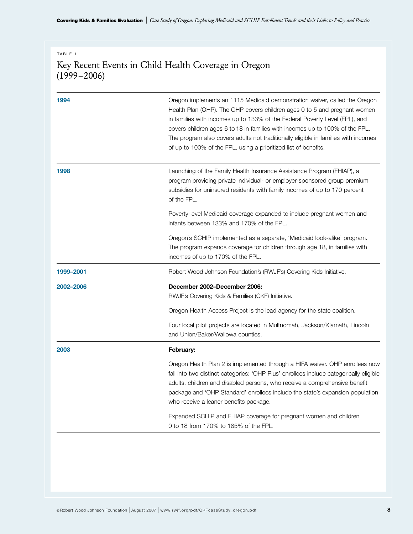**Covering Kids & Families Evaluation** | *Case Study of Oregon: Exploring Medicaid and SCHIP Enrollment Trends and their Links to Policy and Practice*

# TABLE 1

# Key Recent Events in Child Health Coverage in Oregon  $(1999 - 2006)$

| 1994      | Oregon implements an 1115 Medicaid demonstration waiver, called the Oregon<br>Health Plan (OHP). The OHP covers children ages 0 to 5 and pregnant women<br>in families with incomes up to 133% of the Federal Poverty Level (FPL), and<br>covers children ages 6 to 18 in families with incomes up to 100% of the FPL.<br>The program also covers adults not traditionally eligible in families with incomes<br>of up to 100% of the FPL, using a prioritized list of benefits. |
|-----------|---------------------------------------------------------------------------------------------------------------------------------------------------------------------------------------------------------------------------------------------------------------------------------------------------------------------------------------------------------------------------------------------------------------------------------------------------------------------------------|
| 1998      | Launching of the Family Health Insurance Assistance Program (FHIAP), a<br>program providing private individual- or employer-sponsored group premium<br>subsidies for uninsured residents with family incomes of up to 170 percent<br>of the FPL.                                                                                                                                                                                                                                |
|           | Poverty-level Medicaid coverage expanded to include pregnant women and<br>infants between 133% and 170% of the FPL.                                                                                                                                                                                                                                                                                                                                                             |
|           | Oregon's SCHIP implemented as a separate, 'Medicaid look-alike' program.<br>The program expands coverage for children through age 18, in families with<br>incomes of up to 170% of the FPL.                                                                                                                                                                                                                                                                                     |
| 1999-2001 | Robert Wood Johnson Foundation's (RWJF's) Covering Kids Initiative.                                                                                                                                                                                                                                                                                                                                                                                                             |
| 2002-2006 | December 2002-December 2006:<br>RWJF's Covering Kids & Families (CKF) Initiative.                                                                                                                                                                                                                                                                                                                                                                                               |
|           | Oregon Health Access Project is the lead agency for the state coalition.                                                                                                                                                                                                                                                                                                                                                                                                        |
|           | Four local pilot projects are located in Multnomah, Jackson/Klamath, Lincoln<br>and Union/Baker/Wallowa counties.                                                                                                                                                                                                                                                                                                                                                               |
| 2003      | February:                                                                                                                                                                                                                                                                                                                                                                                                                                                                       |
|           | Oregon Health Plan 2 is implemented through a HIFA waiver. OHP enrollees now<br>fall into two distinct categories: 'OHP Plus' enrollees include categorically eligible<br>adults, children and disabled persons, who receive a comprehensive benefit<br>package and 'OHP Standard' enrollees include the state's expansion population<br>who receive a leaner benefits package.                                                                                                 |
|           | Expanded SCHIP and FHIAP coverage for pregnant women and children                                                                                                                                                                                                                                                                                                                                                                                                               |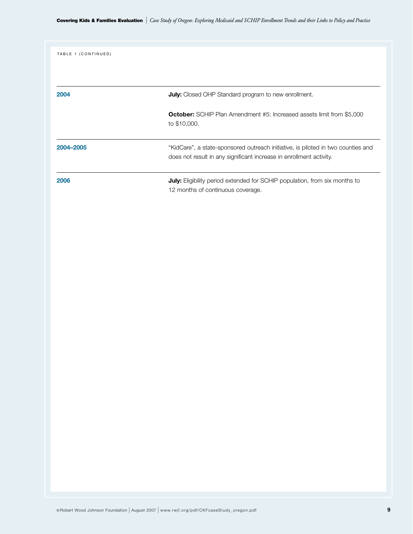| TABLE 1 (CONTINUED) |                                                                                                                                                         |
|---------------------|---------------------------------------------------------------------------------------------------------------------------------------------------------|
| 2004                | <b>July:</b> Closed OHP Standard program to new enrollment.                                                                                             |
|                     | <b>October:</b> SCHIP Plan Amendment #5: Increased assets limit from \$5,000<br>to \$10,000.                                                            |
| 2004-2005           | "KidCare", a state-sponsored outreach initiative, is piloted in two counties and<br>does not result in any significant increase in enrollment activity. |
| 2006                | <b>July:</b> Eligibility period extended for SCHIP population, from six months to<br>12 months of continuous coverage.                                  |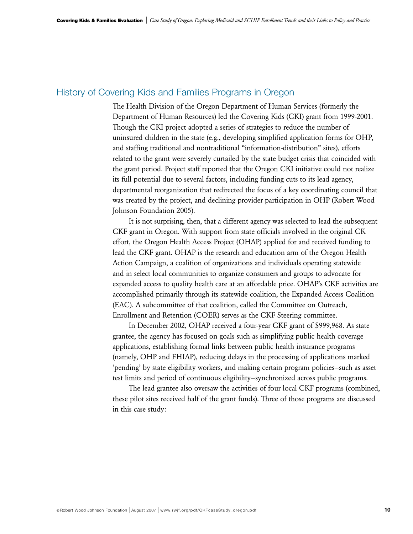# History of Covering Kids and Families Programs in Oregon

The Health Division of the Oregon Department of Human Services (formerly the Department of Human Resources) led the Covering Kids (CKI) grant from 1999-2001. Though the CKI project adopted a series of strategies to reduce the number of uninsured children in the state (e.g., developing simplified application forms for OHP, and staffing traditional and nontraditional "information-distribution" sites), efforts related to the grant were severely curtailed by the state budget crisis that coincided with the grant period. Project staff reported that the Oregon CKI initiative could not realize its full potential due to several factors, including funding cuts to its lead agency, departmental reorganization that redirected the focus of a key coordinating council that was created by the project, and declining provider participation in OHP (Robert Wood Johnson Foundation 2005).

It is not surprising, then, that a different agency was selected to lead the subsequent CKF grant in Oregon. With support from state officials involved in the original CK effort, the Oregon Health Access Project (OHAP) applied for and received funding to lead the CKF grant. OHAP is the research and education arm of the Oregon Health Action Campaign, a coalition of organizations and individuals operating statewide and in select local communities to organize consumers and groups to advocate for expanded access to quality health care at an affordable price. OHAP's CKF activities are accomplished primarily through its statewide coalition, the Expanded Access Coalition (EAC). A subcommittee of that coalition, called the Committee on Outreach, Enrollment and Retention (COER) serves as the CKF Steering committee.

In December 2002, OHAP received a four-year CKF grant of \$999,968. As state grantee, the agency has focused on goals such as simplifying public health coverage applications, establishing formal links between public health insurance programs (namely, OHP and FHIAP), reducing delays in the processing of applications marked 'pending' by state eligibility workers, and making certain program policies—such as asset test limits and period of continuous eligibility—synchronized across public programs.

The lead grantee also oversaw the activities of four local CKF programs (combined, these pilot sites received half of the grant funds). Three of those programs are discussed in this case study: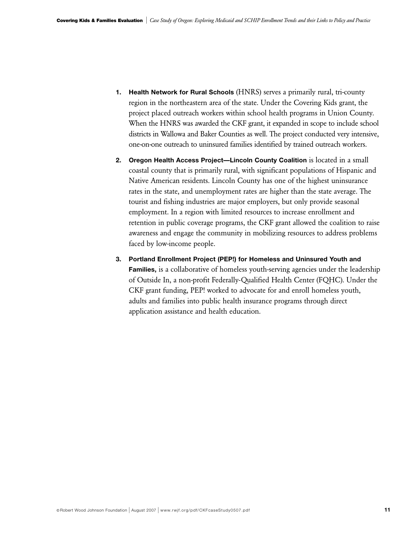- **1. Health Network for Rural Schools** (HNRS) serves a primarily rural, tri-county region in the northeastern area of the state. Under the Covering Kids grant, the project placed outreach workers within school health programs in Union County. When the HNRS was awarded the CKF grant, it expanded in scope to include school districts in Wallowa and Baker Counties as well. The project conducted very intensive, one-on-one outreach to uninsured families identified by trained outreach workers.
- **2. Oregon Health Access Project—Lincoln County Coalition** is located in a small coastal county that is primarily rural, with significant populations of Hispanic and Native American residents. Lincoln County has one of the highest uninsurance rates in the state, and unemployment rates are higher than the state average. The tourist and fishing industries are major employers, but only provide seasonal employment. In a region with limited resources to increase enrollment and retention in public coverage programs, the CKF grant allowed the coalition to raise awareness and engage the community in mobilizing resources to address problems faced by low-income people.
- **3. Portland Enrollment Project (PEP!) for Homeless and Uninsured Youth and Families,** is a collaborative of homeless youth-serving agencies under the leadership of Outside In, a non-profit Federally-Qualified Health Center (FQHC). Under the CKF grant funding, PEP! worked to advocate for and enroll homeless youth, adults and families into public health insurance programs through direct application assistance and health education.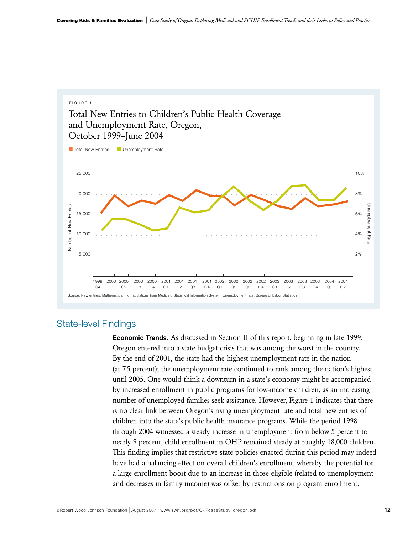

# State-level Findings

**Economic Trends.** As discussed in Section II of this report, beginning in late 1999, Oregon entered into a state budget crisis that was among the worst in the country. By the end of 2001, the state had the highest unemployment rate in the nation (at 7.5 percent); the unemployment rate continued to rank among the nation's highest until 2005. One would think a downturn in a state's economy might be accompanied by increased enrollment in public programs for low-income children, as an increasing number of unemployed families seek assistance. However, Figure 1 indicates that there is no clear link between Oregon's rising unemployment rate and total new entries of children into the state's public health insurance programs. While the period 1998 through 2004 witnessed a steady increase in unemployment from below 5 percent to nearly 9 percent, child enrollment in OHP remained steady at roughly 18,000 children. This finding implies that restrictive state policies enacted during this period may indeed have had a balancing effect on overall children's enrollment, whereby the potential for a large enrollment boost due to an increase in those eligible (related to unemployment and decreases in family income) was offset by restrictions on program enrollment.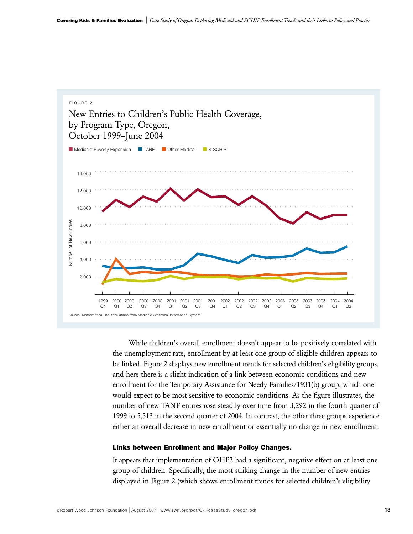

While children's overall enrollment doesn't appear to be positively correlated with the unemployment rate, enrollment by at least one group of eligible children appears to be linked. Figure 2 displays new enrollment trends for selected children's eligibility groups, and here there is a slight indication of a link between economic conditions and new enrollment for the Temporary Assistance for Needy Families/1931(b) group, which one would expect to be most sensitive to economic conditions. As the figure illustrates, the number of new TANF entries rose steadily over time from 3,292 in the fourth quarter of 1999 to 5,513 in the second quarter of 2004. In contrast, the other three groups experience either an overall decrease in new enrollment or essentially no change in new enrollment.

#### **Links between Enrollment and Major Policy Changes.**

It appears that implementation of OHP2 had a significant, negative effect on at least one group of children. Specifically, the most striking change in the number of new entries displayed in Figure 2 (which shows enrollment trends for selected children's eligibility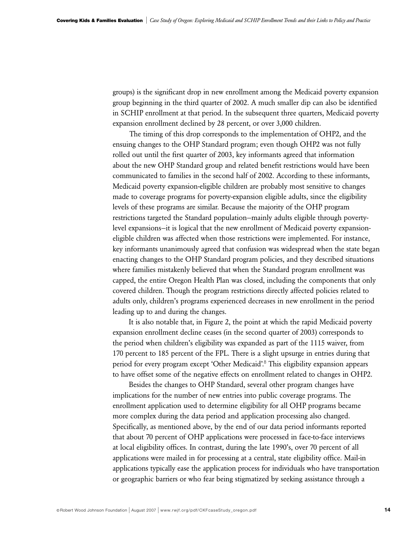groups) is the significant drop in new enrollment among the Medicaid poverty expansion group beginning in the third quarter of 2002. A much smaller dip can also be identified in SCHIP enrollment at that period. In the subsequent three quarters, Medicaid poverty expansion enrollment declined by 28 percent, or over 3,000 children.

The timing of this drop corresponds to the implementation of OHP2, and the ensuing changes to the OHP Standard program; even though OHP2 was not fully rolled out until the first quarter of 2003, key informants agreed that information about the new OHP Standard group and related benefit restrictions would have been communicated to families in the second half of 2002. According to these informants, Medicaid poverty expansion-eligible children are probably most sensitive to changes made to coverage programs for poverty-expansion eligible adults, since the eligibility levels of these programs are similar. Because the majority of the OHP program restrictions targeted the Standard population—mainly adults eligible through povertylevel expansions—it is logical that the new enrollment of Medicaid poverty expansioneligible children was affected when those restrictions were implemented. For instance, key informants unanimously agreed that confusion was widespread when the state began enacting changes to the OHP Standard program policies, and they described situations where families mistakenly believed that when the Standard program enrollment was capped, the entire Oregon Health Plan was closed, including the components that only covered children. Though the program restrictions directly affected policies related to adults only, children's programs experienced decreases in new enrollment in the period leading up to and during the changes.

It is also notable that, in Figure 2, the point at which the rapid Medicaid poverty expansion enrollment decline ceases (in the second quarter of 2003) corresponds to the period when children's eligibility was expanded as part of the 1115 waiver, from 170 percent to 185 percent of the FPL. There is a slight upsurge in entries during that period for every program except 'Other Medicaid'.<sup>8</sup> This eligibility expansion appears to have offset some of the negative effects on enrollment related to changes in OHP2.

Besides the changes to OHP Standard, several other program changes have implications for the number of new entries into public coverage programs. The enrollment application used to determine eligibility for all OHP programs became more complex during the data period and application processing also changed. Specifically, as mentioned above, by the end of our data period informants reported that about 70 percent of OHP applications were processed in face-to-face interviews at local eligibility offices. In contrast, during the late 1990's, over 70 percent of all applications were mailed in for processing at a central, state eligibility office. Mail-in applications typically ease the application process for individuals who have transportation or geographic barriers or who fear being stigmatized by seeking assistance through a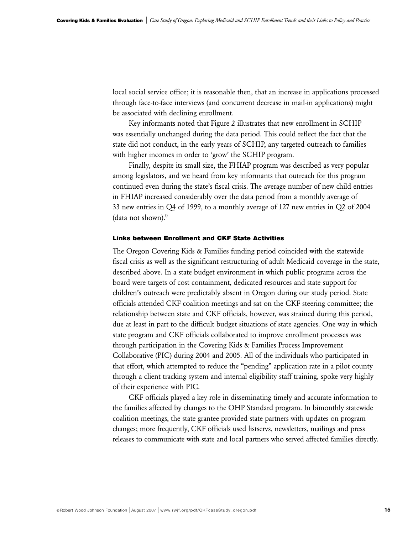local social service office; it is reasonable then, that an increase in applications processed through face-to-face interviews (and concurrent decrease in mail-in applications) might be associated with declining enrollment.

Key informants noted that Figure 2 illustrates that new enrollment in SCHIP was essentially unchanged during the data period. This could reflect the fact that the state did not conduct, in the early years of SCHIP, any targeted outreach to families with higher incomes in order to 'grow' the SCHIP program.

Finally, despite its small size, the FHIAP program was described as very popular among legislators, and we heard from key informants that outreach for this program continued even during the state's fiscal crisis. The average number of new child entries in FHIAP increased considerably over the data period from a monthly average of 33 new entries in Q4 of 1999, to a monthly average of 127 new entries in Q2 of 2004 (data not shown).<sup>9</sup>

## **Links between Enrollment and CKF State Activities**

The Oregon Covering Kids & Families funding period coincided with the statewide fiscal crisis as well as the significant restructuring of adult Medicaid coverage in the state, described above. In a state budget environment in which public programs across the board were targets of cost containment, dedicated resources and state support for children's outreach were predictably absent in Oregon during our study period. State officials attended CKF coalition meetings and sat on the CKF steering committee; the relationship between state and CKF officials, however, was strained during this period, due at least in part to the difficult budget situations of state agencies. One way in which state program and CKF officials collaborated to improve enrollment processes was through participation in the Covering Kids & Families Process Improvement Collaborative (PIC) during 2004 and 2005. All of the individuals who participated in that effort, which attempted to reduce the "pending" application rate in a pilot county through a client tracking system and internal eligibility staff training, spoke very highly of their experience with PIC.

CKF officials played a key role in disseminating timely and accurate information to the families affected by changes to the OHP Standard program. In bimonthly statewide coalition meetings, the state grantee provided state partners with updates on program changes; more frequently, CKF officials used listservs, newsletters, mailings and press releases to communicate with state and local partners who served affected families directly.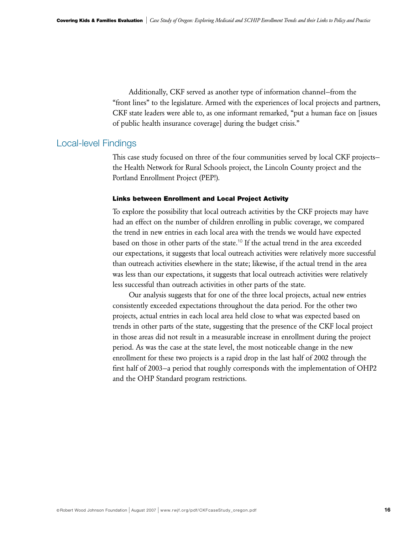Additionally, CKF served as another type of information channel—from the "front lines" to the legislature. Armed with the experiences of local projects and partners, CKF state leaders were able to, as one informant remarked, "put a human face on [issues of public health insurance coverage] during the budget crisis."

# Local-level Findings

This case study focused on three of the four communities served by local CKF projects the Health Network for Rural Schools project, the Lincoln County project and the Portland Enrollment Project (PEP!).

#### **Links between Enrollment and Local Project Activity**

To explore the possibility that local outreach activities by the CKF projects may have had an effect on the number of children enrolling in public coverage, we compared the trend in new entries in each local area with the trends we would have expected based on those in other parts of the state.<sup>10</sup> If the actual trend in the area exceeded our expectations, it suggests that local outreach activities were relatively more successful than outreach activities elsewhere in the state; likewise, if the actual trend in the area was less than our expectations, it suggests that local outreach activities were relatively less successful than outreach activities in other parts of the state.

Our analysis suggests that for one of the three local projects, actual new entries consistently exceeded expectations throughout the data period. For the other two projects, actual entries in each local area held close to what was expected based on trends in other parts of the state, suggesting that the presence of the CKF local project in those areas did not result in a measurable increase in enrollment during the project period. As was the case at the state level, the most noticeable change in the new enrollment for these two projects is a rapid drop in the last half of 2002 through the first half of 2003—a period that roughly corresponds with the implementation of OHP2 and the OHP Standard program restrictions.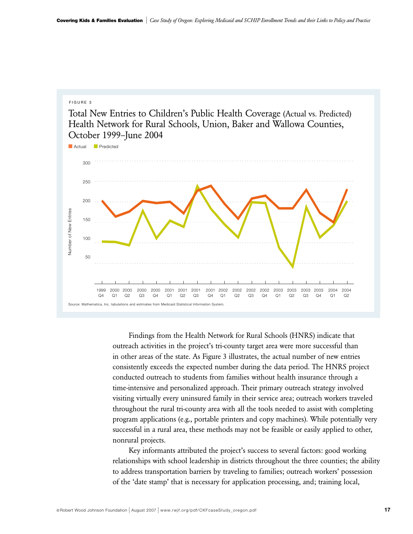#### F IGURE 3

Total New Entries to Children's Public Health Coverage (Actual vs. Predicted) Health Network for Rural Schools, Union, Baker and Wallowa Counties, October 1999–June 2004



Findings from the Health Network for Rural Schools (HNRS) indicate that outreach activities in the project's tri-county target area were more successful than in other areas of the state. As Figure 3 illustrates, the actual number of new entries consistently exceeds the expected number during the data period. The HNRS project conducted outreach to students from families without health insurance through a time-intensive and personalized approach. Their primary outreach strategy involved visiting virtually every uninsured family in their service area; outreach workers traveled throughout the rural tri-county area with all the tools needed to assist with completing program applications (e.g., portable printers and copy machines). While potentially very successful in a rural area, these methods may not be feasible or easily applied to other, nonrural projects.

Key informants attributed the project's success to several factors: good working relationships with school leadership in districts throughout the three counties; the ability to address transportation barriers by traveling to families; outreach workers' possession of the 'date stamp' that is necessary for application processing, and; training local,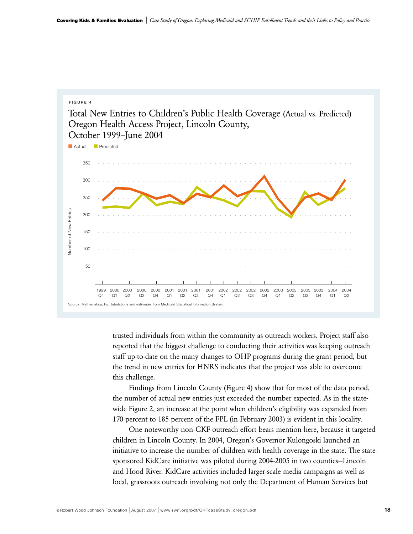

trusted individuals from within the community as outreach workers. Project staff also reported that the biggest challenge to conducting their activities was keeping outreach staff up-to-date on the many changes to OHP programs during the grant period, but the trend in new entries for HNRS indicates that the project was able to overcome this challenge.

Findings from Lincoln County (Figure 4) show that for most of the data period, the number of actual new entries just exceeded the number expected. As in the statewide Figure 2, an increase at the point when children's eligibility was expanded from 170 percent to 185 percent of the FPL (in February 2003) is evident in this locality.

One noteworthy non-CKF outreach effort bears mention here, because it targeted children in Lincoln County. In 2004, Oregon's Governor Kulongoski launched an initiative to increase the number of children with health coverage in the state. The statesponsored KidCare initiative was piloted during 2004-2005 in two counties—Lincoln and Hood River. KidCare activities included larger-scale media campaigns as well as local, grassroots outreach involving not only the Department of Human Services but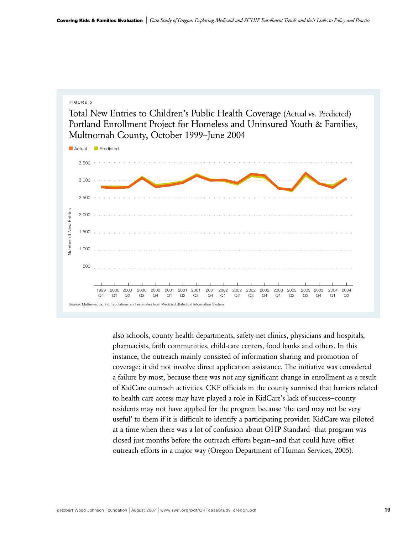#### F IGURE 5

Total New Entries to Children's Public Health Coverage (Actual vs. Predicted) Portland Enrollment Project for Homeless and Uninsured Youth & Families, Multnomah County, October 1999–June 2004



also schools, county health departments, safety-net clinics, physicians and hospitals, pharmacists, faith communities, child-care centers, food banks and others. In this instance, the outreach mainly consisted of information sharing and promotion of coverage; it did not involve direct application assistance. The initiative was considered a failure by most, because there was not any significant change in enrollment as a result of KidCare outreach activities. CKF officials in the county surmised that barriers related to health care access may have played a role in KidCare's lack of success—county residents may not have applied for the program because 'the card may not be very useful' to them if it is difficult to identify a participating provider. KidCare was piloted at a time when there was a lot of confusion about OHP Standard—that program was closed just months before the outreach efforts began—and that could have offset outreach efforts in a major way (Oregon Department of Human Services, 2005).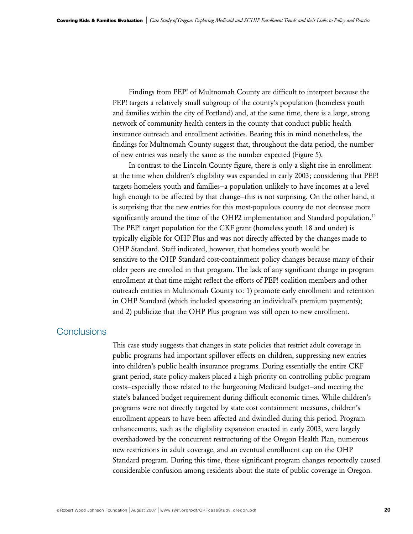Findings from PEP! of Multnomah County are difficult to interpret because the PEP! targets a relatively small subgroup of the county's population (homeless youth and families within the city of Portland) and, at the same time, there is a large, strong network of community health centers in the county that conduct public health insurance outreach and enrollment activities. Bearing this in mind nonetheless, the findings for Multnomah County suggest that, throughout the data period, the number of new entries was nearly the same as the number expected (Figure 5).

In contrast to the Lincoln County figure, there is only a slight rise in enrollment at the time when children's eligibility was expanded in early 2003; considering that PEP! targets homeless youth and families—a population unlikely to have incomes at a level high enough to be affected by that change—this is not surprising. On the other hand, it is surprising that the new entries for this most-populous county do not decrease more significantly around the time of the OHP2 implementation and Standard population.<sup>11</sup> The PEP! target population for the CKF grant (homeless youth 18 and under) is typically eligible for OHP Plus and was not directly affected by the changes made to OHP Standard. Staff indicated, however, that homeless youth would be sensitive to the OHP Standard cost-containment policy changes because many of their older peers are enrolled in that program. The lack of any significant change in program enrollment at that time might reflect the efforts of PEP! coalition members and other outreach entities in Multnomah County to: 1) promote early enrollment and retention in OHP Standard (which included sponsoring an individual's premium payments); and 2) publicize that the OHP Plus program was still open to new enrollment.

# **Conclusions**

This case study suggests that changes in state policies that restrict adult coverage in public programs had important spillover effects on children, suppressing new entries into children's public health insurance programs. During essentially the entire CKF grant period, state policy-makers placed a high priority on controlling public program costs—especially those related to the burgeoning Medicaid budget—and meeting the state's balanced budget requirement during difficult economic times. While children's programs were not directly targeted by state cost containment measures, children's enrollment appears to have been affected and dwindled during this period. Program enhancements, such as the eligibility expansion enacted in early 2003, were largely overshadowed by the concurrent restructuring of the Oregon Health Plan, numerous new restrictions in adult coverage, and an eventual enrollment cap on the OHP Standard program. During this time, these significant program changes reportedly caused considerable confusion among residents about the state of public coverage in Oregon.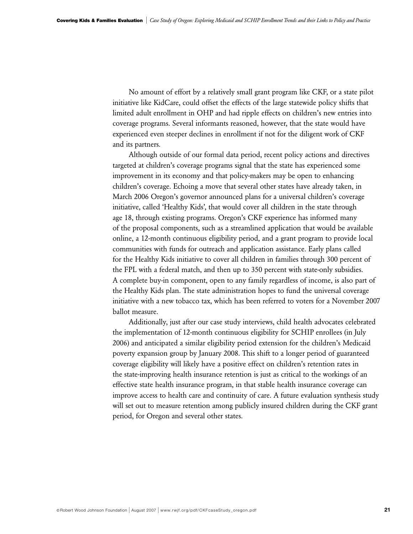No amount of effort by a relatively small grant program like CKF, or a state pilot initiative like KidCare, could offset the effects of the large statewide policy shifts that limited adult enrollment in OHP and had ripple effects on children's new entries into coverage programs. Several informants reasoned, however, that the state would have experienced even steeper declines in enrollment if not for the diligent work of CKF and its partners.

Although outside of our formal data period, recent policy actions and directives targeted at children's coverage programs signal that the state has experienced some improvement in its economy and that policy-makers may be open to enhancing children's coverage. Echoing a move that several other states have already taken, in March 2006 Oregon's governor announced plans for a universal children's coverage initiative, called 'Healthy Kids', that would cover all children in the state through age 18, through existing programs. Oregon's CKF experience has informed many of the proposal components, such as a streamlined application that would be available online, a 12-month continuous eligibility period, and a grant program to provide local communities with funds for outreach and application assistance. Early plans called for the Healthy Kids initiative to cover all children in families through 300 percent of the FPL with a federal match, and then up to 350 percent with state-only subsidies. A complete buy-in component, open to any family regardless of income, is also part of the Healthy Kids plan. The state administration hopes to fund the universal coverage initiative with a new tobacco tax, which has been referred to voters for a November 2007 ballot measure.

Additionally, just after our case study interviews, child health advocates celebrated the implementation of 12-month continuous eligibility for SCHIP enrollees (in July 2006) and anticipated a similar eligibility period extension for the children's Medicaid poverty expansion group by January 2008. This shift to a longer period of guaranteed coverage eligibility will likely have a positive effect on children's retention rates in the state-improving health insurance retention is just as critical to the workings of an effective state health insurance program, in that stable health insurance coverage can improve access to health care and continuity of care. A future evaluation synthesis study will set out to measure retention among publicly insured children during the CKF grant period, for Oregon and several other states.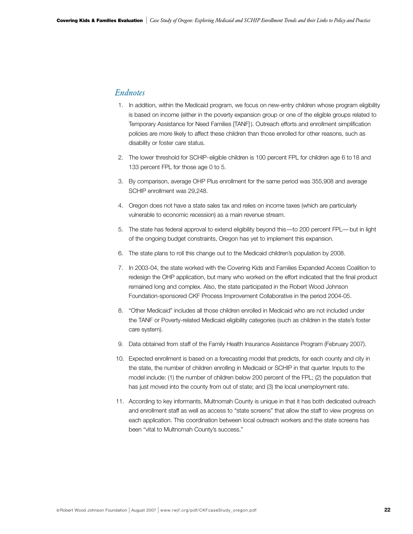# *Endnotes*

- 1. In addition, within the Medicaid program, we focus on new-entry children whose program eligibility is based on income (either in the poverty expansion group or one of the eligible groups related to Temporary Assistance for Need Families [TANF] ). Outreach efforts and enrollment simplification policies are more likely to affect these children than those enrolled for other reasons, such as disability or foster care status.
- 2. The lower threshold for SCHIP-eligible children is 100 percent FPL for children age 6 to18 and 133 percent FPL for those age 0 to 5.
- 3. By comparison, average OHP Plus enrollment for the same period was 355,908 and average SCHIP enrollment was 29,248.
- 4. Oregon does not have a state sales tax and relies on income taxes (which are particularly vulnerable to economic recession) as a main revenue stream.
- 5. The state has federal approval to extend eligibility beyond this—to 200 percent FPL— but in light of the ongoing budget constraints, Oregon has yet to implement this expansion.
- 6. The state plans to roll this change out to the Medicaid children's population by 2008.
- 7. In 2003-04, the state worked with the Covering Kids and Families Expanded Access Coalition to redesign the OHP application, but many who worked on the effort indicated that the final product remained long and complex. Also, the state participated in the Robert Wood Johnson Foundation-sponsored CKF Process Improvement Collaborative in the period 2004-05.
- 8. "Other Medicaid" includes all those children enrolled in Medicaid who are not included under the TANF or Poverty-related Medicaid eligibility categories (such as children in the state's foster care system).
- 9. Data obtained from staff of the Family Health Insurance Assistance Program (February 2007).
- 10. Expected enrollment is based on a forecasting model that predicts, for each county and city in the state, the number of children enrolling in Medicaid or SCHIP in that quarter. Inputs to the model include: (1) the number of children below 200 percent of the FPL; (2) the population that has just moved into the county from out of state; and (3) the local unemployment rate.
- 11. According to key informants, Multnomah County is unique in that it has both dedicated outreach and enrollment staff as well as access to "state screens" that allow the staff to view progress on each application. This coordination between local outreach workers and the state screens has been "vital to Multnomah County's success."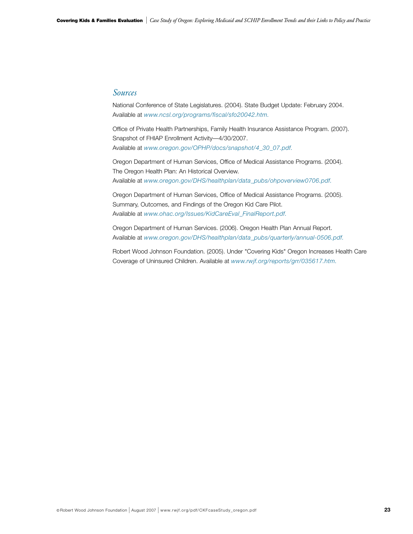## *Sources*

National Conference of State Legislatures. (2004). State Budget Update: February 2004. Available at *www.ncsl.org/programs/fiscal/sfo20042.htm.*

Office of Private Health Partnerships, Family Health Insurance Assistance Program. (2007). Snapshot of FHIAP Enrollment Activity—4/30/2007. Available at *www.oregon.gov/OPHP/docs/snapshot/4\_30\_07.pdf.*

Oregon Department of Human Services, Office of Medical Assistance Programs. (2004). The Oregon Health Plan: An Historical Overview. Available at *www.oregon.gov/DHS/healthplan/data\_pubs/ohpoverview0706.pdf.*

Oregon Department of Human Services, Office of Medical Assistance Programs. (2005). Summary, Outcomes, and Findings of the Oregon Kid Care Pilot. Available at *www.ohac.org/Issues/KidCareEval\_FinalReport.pdf.*

Oregon Department of Human Services. (2006). Oregon Health Plan Annual Report. Available at *www.oregon.gov/DHS/healthplan/data\_pubs/quarterly/annual-0506.pdf.*

Robert Wood Johnson Foundation. (2005). Under "Covering Kids" Oregon Increases Health Care Coverage of Uninsured Children. Available at *www.rwjf.org/reports/grr/035617.htm.*